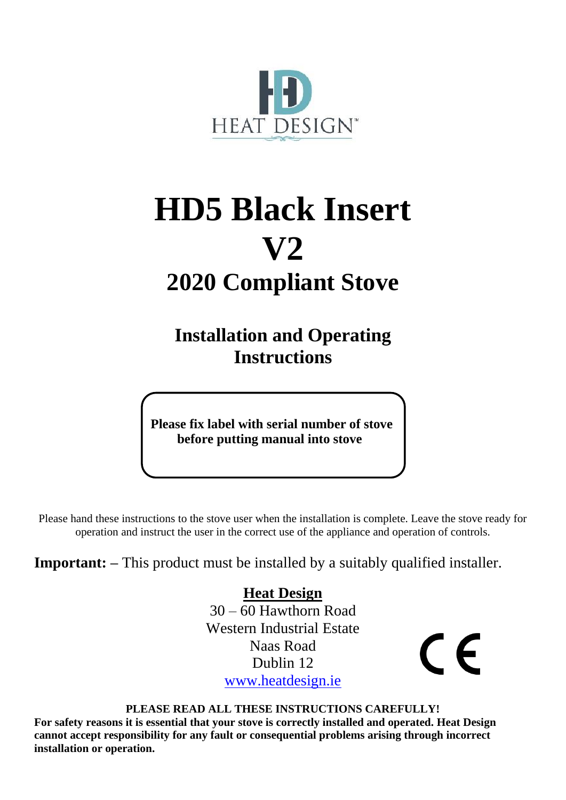

# **HD5 Black Insert V2 2020 Compliant Stove**

**Installation and Operating Instructions**

 **Please fix label with serial number of stove before putting manual into stove**

Please hand these instructions to the stove user when the installation is complete. Leave the stove ready for operation and instruct the user in the correct use of the appliance and operation of controls.

**Important:** – This product must be installed by a suitably qualified installer.

 **Heat Design**  $30 - 60$  Hawthorn Road Western Industrial Estate Naas Road Dublin 12 [www.heatdesign.ie](http://www.heatdesign.ie/)

 $\epsilon$ 

**PLEASE READ ALL THESE INSTRUCTIONS CAREFULLY!**

**For safety reasons it is essential that your stove is correctly installed and operated. Heat Design cannot accept responsibility for any fault or consequential problems arising through incorrect installation or operation.**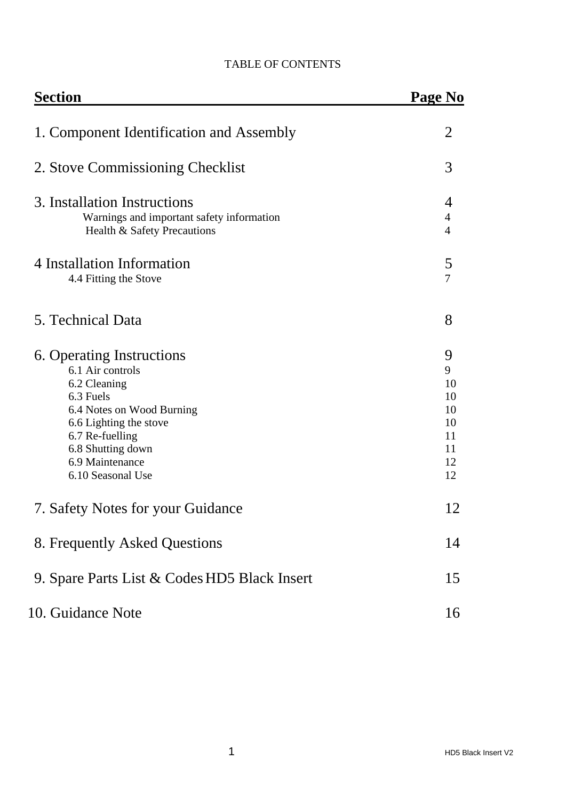| <b>Section</b>                                                                                                                                                                                                    | Page No                                                |  |
|-------------------------------------------------------------------------------------------------------------------------------------------------------------------------------------------------------------------|--------------------------------------------------------|--|
| 1. Component Identification and Assembly                                                                                                                                                                          | $\overline{2}$                                         |  |
| 2. Stove Commissioning Checklist                                                                                                                                                                                  | 3                                                      |  |
| 3. Installation Instructions<br>Warnings and important safety information<br>Health & Safety Precautions                                                                                                          | 4<br>$\overline{4}$<br>$\overline{4}$                  |  |
| 4 Installation Information<br>4.4 Fitting the Stove                                                                                                                                                               | 5<br>$\overline{7}$                                    |  |
| 5. Technical Data                                                                                                                                                                                                 | 8                                                      |  |
| 6. Operating Instructions<br>6.1 Air controls<br>6.2 Cleaning<br>6.3 Fuels<br>6.4 Notes on Wood Burning<br>6.6 Lighting the stove<br>6.7 Re-fuelling<br>6.8 Shutting down<br>6.9 Maintenance<br>6.10 Seasonal Use | 9<br>9<br>10<br>10<br>10<br>10<br>11<br>11<br>12<br>12 |  |
| 7. Safety Notes for your Guidance                                                                                                                                                                                 | 12                                                     |  |
| 8. Frequently Asked Questions                                                                                                                                                                                     | 14                                                     |  |
| 9. Spare Parts List & Codes HD5 Black Insert                                                                                                                                                                      | 15                                                     |  |
| 10. Guidance Note                                                                                                                                                                                                 | 16                                                     |  |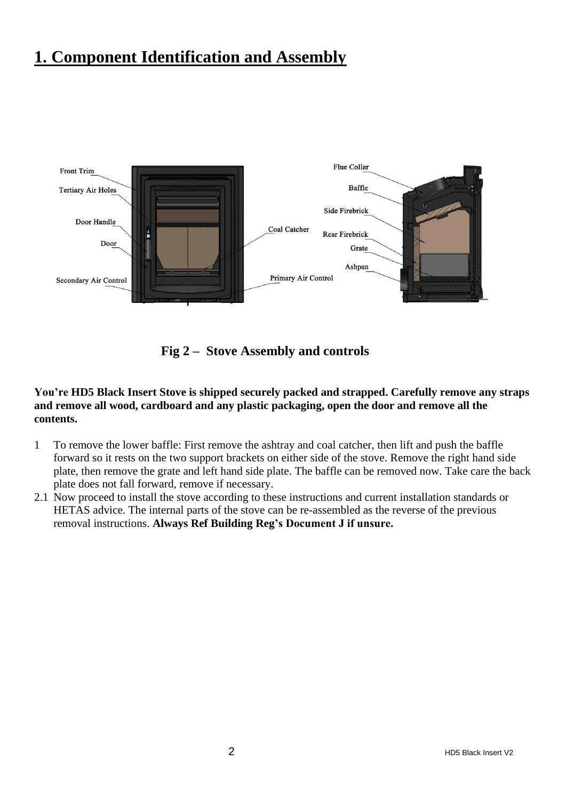## **1. Component Identification and Assembly**



**Fig 2 – Stove Assembly and controls**

**You're HD5 Black Insert Stove is shipped securely packed and strapped. Carefully remove any straps and remove all wood, cardboard and any plastic packaging, open the door and remove all the contents.** 

- 1 To remove the lower baffle: First remove the ashtray and coal catcher, then lift and push the baffle forward so it rests on the two support brackets on either side of the stove. Remove the right hand side plate, then remove the grate and left hand side plate. The baffle can be removed now. Take care the back plate does not fall forward, remove if necessary.
- 2.1 Now proceed to install the stove according to these instructions and current installation standards or HETAS advice. The internal parts of the stove can be re-assembled as the reverse of the previous removal instructions. **Always Ref Building Reg's Document J if unsure.**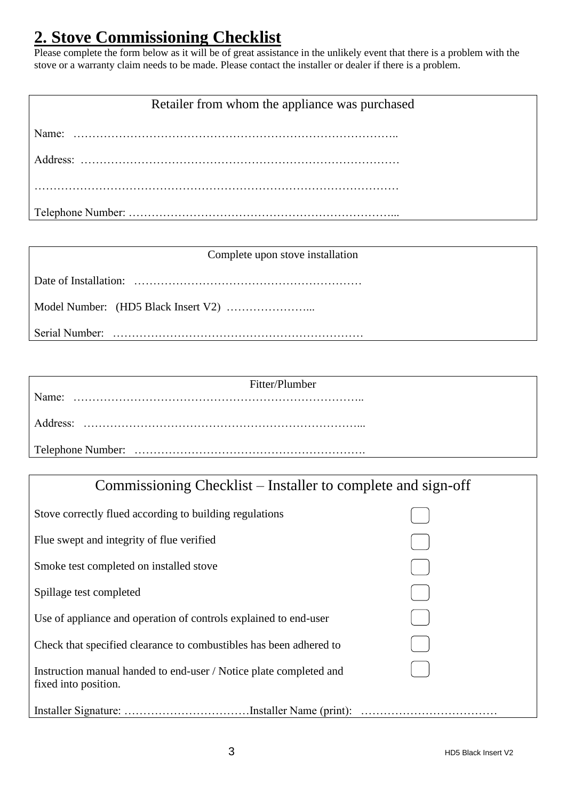# **2. Stove Commissioning Checklist**

Please complete the form below as it will be of great assistance in the unlikely event that there is a problem with the stove or a warranty claim needs to be made. Please contact the installer or dealer if there is a problem.

### Retailer from whom the appliance was purchased

#### Complete upon stove installation

|--|--|

Model Number: (HD5 Black Insert V2) …………………...

Serial Number: …………………………………………………………

| Fitter/Plumber |
|----------------|
|                |
| Address:       |
|                |

| Commissioning Checklist – Installer to complete and sign-off                               |  |  |  |
|--------------------------------------------------------------------------------------------|--|--|--|
| Stove correctly flued according to building regulations                                    |  |  |  |
| Flue swept and integrity of flue verified                                                  |  |  |  |
| Smoke test completed on installed stove                                                    |  |  |  |
| Spillage test completed                                                                    |  |  |  |
| Use of appliance and operation of controls explained to end-user                           |  |  |  |
| Check that specified clearance to combustibles has been adhered to                         |  |  |  |
| Instruction manual handed to end-user / Notice plate completed and<br>fixed into position. |  |  |  |
|                                                                                            |  |  |  |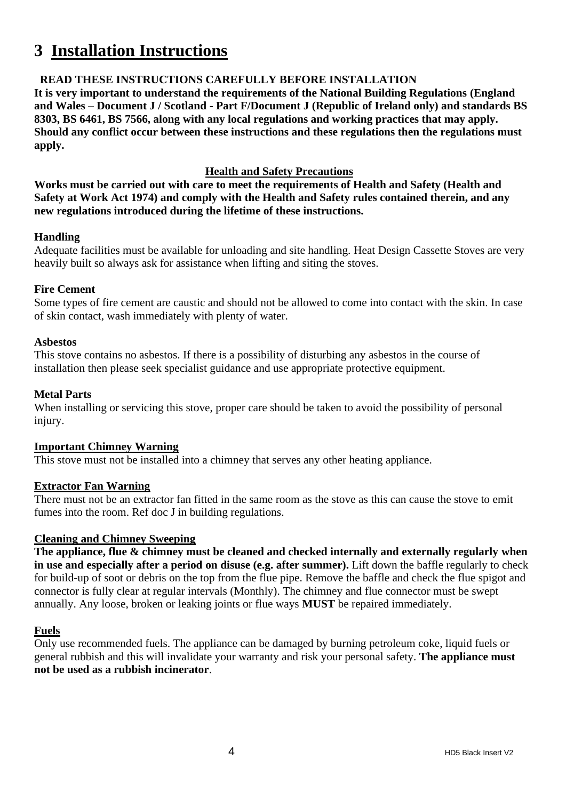# **3 Installation Instructions**

#### **READ THESE INSTRUCTIONS CAREFULLY BEFORE INSTALLATION**

**It is very important to understand the requirements of the National Building Regulations (England and Wales – Document J / Scotland - Part F/Document J (Republic of Ireland only) and standards BS 8303, BS 6461, BS 7566, along with any local regulations and working practices that may apply. Should any conflict occur between these instructions and these regulations then the regulations must apply.**

#### **Health and Safety Precautions**

**Works must be carried out with care to meet the requirements of Health and Safety (Health and Safety at Work Act 1974) and comply with the Health and Safety rules contained therein, and any new regulations introduced during the lifetime of these instructions.**

#### **Handling**

Adequate facilities must be available for unloading and site handling. Heat Design Cassette Stoves are very heavily built so always ask for assistance when lifting and siting the stoves.

#### **Fire Cement**

Some types of fire cement are caustic and should not be allowed to come into contact with the skin. In case of skin contact, wash immediately with plenty of water.

#### **Asbestos**

This stove contains no asbestos. If there is a possibility of disturbing any asbestos in the course of installation then please seek specialist guidance and use appropriate protective equipment.

#### **Metal Parts**

When installing or servicing this stove, proper care should be taken to avoid the possibility of personal injury.

#### **Important Chimney Warning**

This stove must not be installed into a chimney that serves any other heating appliance.

#### **Extractor Fan Warning**

There must not be an extractor fan fitted in the same room as the stove as this can cause the stove to emit fumes into the room. Ref doc J in building regulations.

#### **Cleaning and Chimney Sweeping**

**The appliance, flue & chimney must be cleaned and checked internally and externally regularly when in use and especially after a period on disuse (e.g. after summer).** Lift down the baffle regularly to check for build-up of soot or debris on the top from the flue pipe. Remove the baffle and check the flue spigot and connector is fully clear at regular intervals (Monthly). The chimney and flue connector must be swept annually. Any loose, broken or leaking joints or flue ways **MUST** be repaired immediately.

#### **Fuels**

Only use recommended fuels. The appliance can be damaged by burning petroleum coke, liquid fuels or general rubbish and this will invalidate your warranty and risk your personal safety. **The appliance must not be used as a rubbish incinerator**.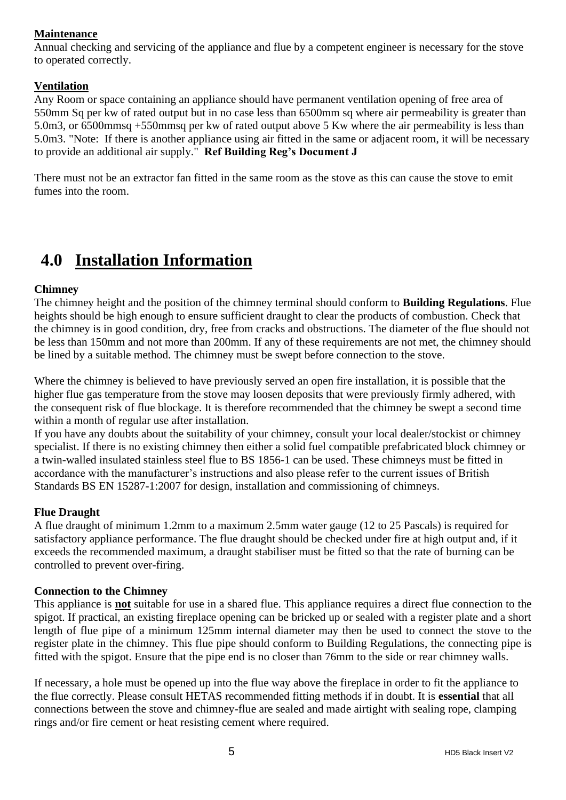#### **Maintenance**

Annual checking and servicing of the appliance and flue by a competent engineer is necessary for the stove to operated correctly.

#### **Ventilation**

Any Room or space containing an appliance should have permanent ventilation opening of free area of 550mm Sq per kw of rated output but in no case less than 6500mm sq where air permeability is greater than 5.0m3, or 6500mmsq +550mmsq per kw of rated output above 5 Kw where the air permeability is less than 5.0m3. "Note: If there is another appliance using air fitted in the same or adjacent room, it will be necessary to provide an additional air supply." **Ref Building Reg's Document J**

There must not be an extractor fan fitted in the same room as the stove as this can cause the stove to emit fumes into the room.

# **4.0 Installation Information**

#### **Chimney**

The chimney height and the position of the chimney terminal should conform to **Building Regulations**. Flue heights should be high enough to ensure sufficient draught to clear the products of combustion. Check that the chimney is in good condition, dry, free from cracks and obstructions. The diameter of the flue should not be less than 150mm and not more than 200mm. If any of these requirements are not met, the chimney should be lined by a suitable method. The chimney must be swept before connection to the stove.

Where the chimney is believed to have previously served an open fire installation, it is possible that the higher flue gas temperature from the stove may loosen deposits that were previously firmly adhered, with the consequent risk of flue blockage. It is therefore recommended that the chimney be swept a second time within a month of regular use after installation.

If you have any doubts about the suitability of your chimney, consult your local dealer/stockist or chimney specialist. If there is no existing chimney then either a solid fuel compatible prefabricated block chimney or a twin-walled insulated stainless steel flue to BS 1856-1 can be used. These chimneys must be fitted in accordance with the manufacturer's instructions and also please refer to the current issues of British Standards BS EN 15287-1:2007 for design, installation and commissioning of chimneys.

#### **Flue Draught**

A flue draught of minimum 1.2mm to a maximum 2.5mm water gauge (12 to 25 Pascals) is required for satisfactory appliance performance. The flue draught should be checked under fire at high output and, if it exceeds the recommended maximum, a draught stabiliser must be fitted so that the rate of burning can be controlled to prevent over-firing.

#### **Connection to the Chimney**

This appliance is **not** suitable for use in a shared flue. This appliance requires a direct flue connection to the spigot. If practical, an existing fireplace opening can be bricked up or sealed with a register plate and a short length of flue pipe of a minimum 125mm internal diameter may then be used to connect the stove to the register plate in the chimney. This flue pipe should conform to Building Regulations, the connecting pipe is fitted with the spigot. Ensure that the pipe end is no closer than 76mm to the side or rear chimney walls.

If necessary, a hole must be opened up into the flue way above the fireplace in order to fit the appliance to the flue correctly. Please consult HETAS recommended fitting methods if in doubt. It is **essential** that all connections between the stove and chimney-flue are sealed and made airtight with sealing rope, clamping rings and/or fire cement or heat resisting cement where required.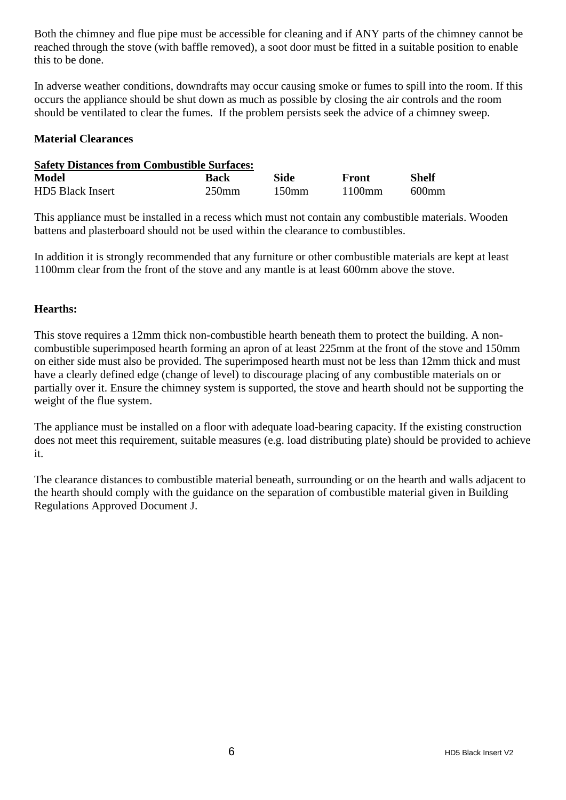Both the chimney and flue pipe must be accessible for cleaning and if ANY parts of the chimney cannot be reached through the stove (with baffle removed), a soot door must be fitted in a suitable position to enable this to be done.

In adverse weather conditions, downdrafts may occur causing smoke or fumes to spill into the room. If this occurs the appliance should be shut down as much as possible by closing the air controls and the room should be ventilated to clear the fumes. If the problem persists seek the advice of a chimney sweep.

#### **Material Clearances**

| <b>Safety Distances from Combustible Surfaces:</b> |          |          |                      |          |
|----------------------------------------------------|----------|----------|----------------------|----------|
| Model                                              | Back     | Side     | Front                | Shelf    |
| HD5 Black Insert                                   | $250$ mm | $150$ mm | $1100 \,\mathrm{mm}$ | $600$ mm |

This appliance must be installed in a recess which must not contain any combustible materials. Wooden battens and plasterboard should not be used within the clearance to combustibles.

In addition it is strongly recommended that any furniture or other combustible materials are kept at least 1100mm clear from the front of the stove and any mantle is at least 600mm above the stove.

#### **Hearths:**

This stove requires a 12mm thick non-combustible hearth beneath them to protect the building. A noncombustible superimposed hearth forming an apron of at least 225mm at the front of the stove and 150mm on either side must also be provided. The superimposed hearth must not be less than 12mm thick and must have a clearly defined edge (change of level) to discourage placing of any combustible materials on or partially over it. Ensure the chimney system is supported, the stove and hearth should not be supporting the weight of the flue system.

The appliance must be installed on a floor with adequate load-bearing capacity. If the existing construction does not meet this requirement, suitable measures (e.g. load distributing plate) should be provided to achieve it.

The clearance distances to combustible material beneath, surrounding or on the hearth and walls adjacent to the hearth should comply with the guidance on the separation of combustible material given in Building Regulations Approved Document J.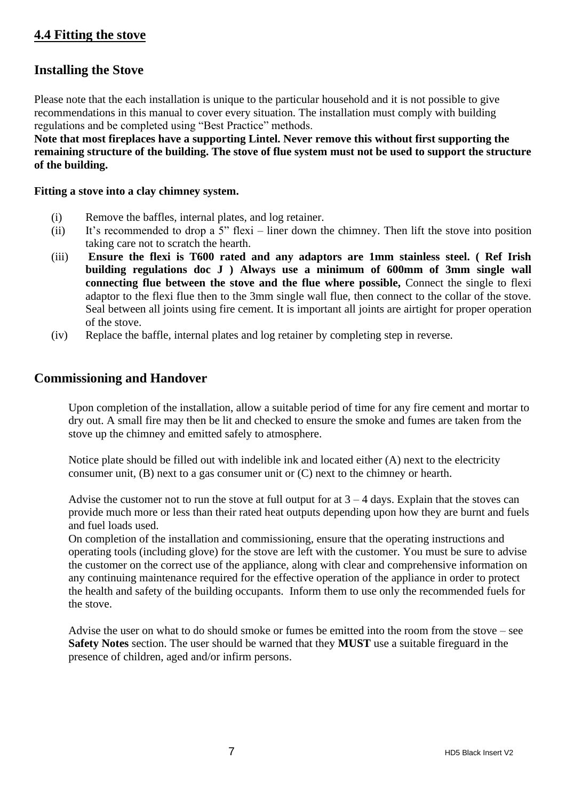### **4.4 Fitting the stove**

### **Installing the Stove**

Please note that the each installation is unique to the particular household and it is not possible to give recommendations in this manual to cover every situation. The installation must comply with building regulations and be completed using "Best Practice" methods.

**Note that most fireplaces have a supporting Lintel. Never remove this without first supporting the remaining structure of the building. The stove of flue system must not be used to support the structure of the building.**

#### **Fitting a stove into a clay chimney system.**

- (i) Remove the baffles, internal plates, and log retainer.
- (ii) It's recommended to drop a 5" flexi liner down the chimney. Then lift the stove into position taking care not to scratch the hearth.
- (iii) **Ensure the flexi is T600 rated and any adaptors are 1mm stainless steel. ( Ref Irish building regulations doc J ) Always use a minimum of 600mm of 3mm single wall connecting flue between the stove and the flue where possible,** Connect the single to flexi adaptor to the flexi flue then to the 3mm single wall flue, then connect to the collar of the stove. Seal between all joints using fire cement. It is important all joints are airtight for proper operation of the stove.
- (iv) Replace the baffle, internal plates and log retainer by completing step in reverse.

#### **Commissioning and Handover**

Upon completion of the installation, allow a suitable period of time for any fire cement and mortar to dry out. A small fire may then be lit and checked to ensure the smoke and fumes are taken from the stove up the chimney and emitted safely to atmosphere.

Notice plate should be filled out with indelible ink and located either (A) next to the electricity consumer unit, (B) next to a gas consumer unit or (C) next to the chimney or hearth.

Advise the customer not to run the stove at full output for at  $3 - 4$  days. Explain that the stoves can provide much more or less than their rated heat outputs depending upon how they are burnt and fuels and fuel loads used.

On completion of the installation and commissioning, ensure that the operating instructions and operating tools (including glove) for the stove are left with the customer. You must be sure to advise the customer on the correct use of the appliance, along with clear and comprehensive information on any continuing maintenance required for the effective operation of the appliance in order to protect the health and safety of the building occupants. Inform them to use only the recommended fuels for the stove.

Advise the user on what to do should smoke or fumes be emitted into the room from the stove – see **Safety Notes** section. The user should be warned that they **MUST** use a suitable fireguard in the presence of children, aged and/or infirm persons.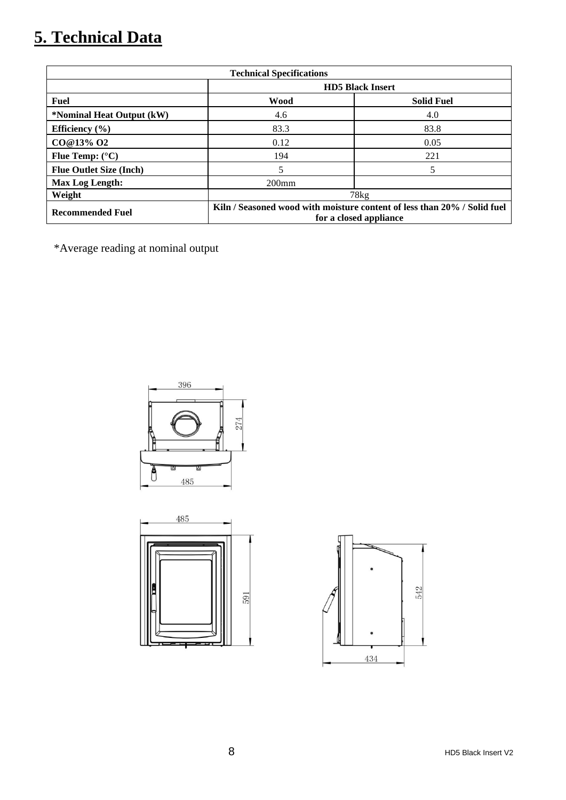# **5. Technical Data**

| <b>Technical Specifications</b> |                                                                                                    |                   |  |
|---------------------------------|----------------------------------------------------------------------------------------------------|-------------------|--|
|                                 | <b>HD5</b> Black Insert                                                                            |                   |  |
| <b>Fuel</b>                     | <b>Wood</b>                                                                                        | <b>Solid Fuel</b> |  |
| *Nominal Heat Output (kW)       | 4.6                                                                                                | 4.0               |  |
| Efficiency $(\% )$              | 83.3                                                                                               | 83.8              |  |
| CO@13% O2                       | 0.12                                                                                               | 0.05              |  |
| Flue Temp: $(^{\circ}C)$        | 194                                                                                                | 221               |  |
| <b>Flue Outlet Size (Inch)</b>  | 5                                                                                                  |                   |  |
| Max Log Length:                 | $200$ mm                                                                                           |                   |  |
| Weight                          | 78kg                                                                                               |                   |  |
| <b>Recommended Fuel</b>         | Kiln / Seasoned wood with moisture content of less than 20% / Solid fuel<br>for a closed appliance |                   |  |

\*Average reading at nominal output





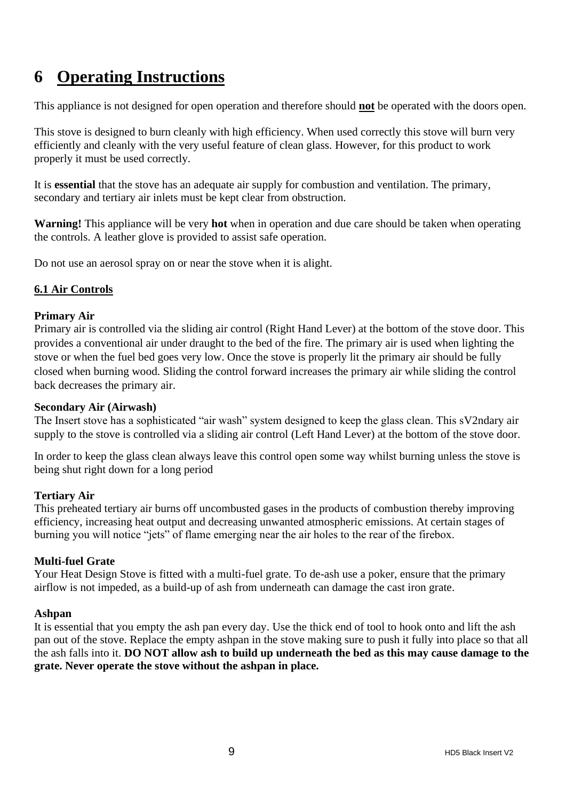# **6 Operating Instructions**

This appliance is not designed for open operation and therefore should **not** be operated with the doors open.

This stove is designed to burn cleanly with high efficiency. When used correctly this stove will burn very efficiently and cleanly with the very useful feature of clean glass. However, for this product to work properly it must be used correctly.

It is **essential** that the stove has an adequate air supply for combustion and ventilation. The primary, secondary and tertiary air inlets must be kept clear from obstruction.

**Warning!** This appliance will be very **hot** when in operation and due care should be taken when operating the controls. A leather glove is provided to assist safe operation.

Do not use an aerosol spray on or near the stove when it is alight.

#### **6.1 Air Controls**

#### **Primary Air**

Primary air is controlled via the sliding air control (Right Hand Lever) at the bottom of the stove door. This provides a conventional air under draught to the bed of the fire. The primary air is used when lighting the stove or when the fuel bed goes very low. Once the stove is properly lit the primary air should be fully closed when burning wood. Sliding the control forward increases the primary air while sliding the control back decreases the primary air.

#### **Secondary Air (Airwash)**

The Insert stove has a sophisticated "air wash" system designed to keep the glass clean. This sV2ndary air supply to the stove is controlled via a sliding air control (Left Hand Lever) at the bottom of the stove door.

In order to keep the glass clean always leave this control open some way whilst burning unless the stove is being shut right down for a long period

#### **Tertiary Air**

This preheated tertiary air burns off uncombusted gases in the products of combustion thereby improving efficiency, increasing heat output and decreasing unwanted atmospheric emissions. At certain stages of burning you will notice "jets" of flame emerging near the air holes to the rear of the firebox.

#### **Multi-fuel Grate**

Your Heat Design Stove is fitted with a multi-fuel grate. To de-ash use a poker, ensure that the primary airflow is not impeded, as a build-up of ash from underneath can damage the cast iron grate.

#### **Ashpan**

It is essential that you empty the ash pan every day. Use the thick end of tool to hook onto and lift the ash pan out of the stove. Replace the empty ashpan in the stove making sure to push it fully into place so that all the ash falls into it. **DO NOT allow ash to build up underneath the bed as this may cause damage to the grate. Never operate the stove without the ashpan in place.**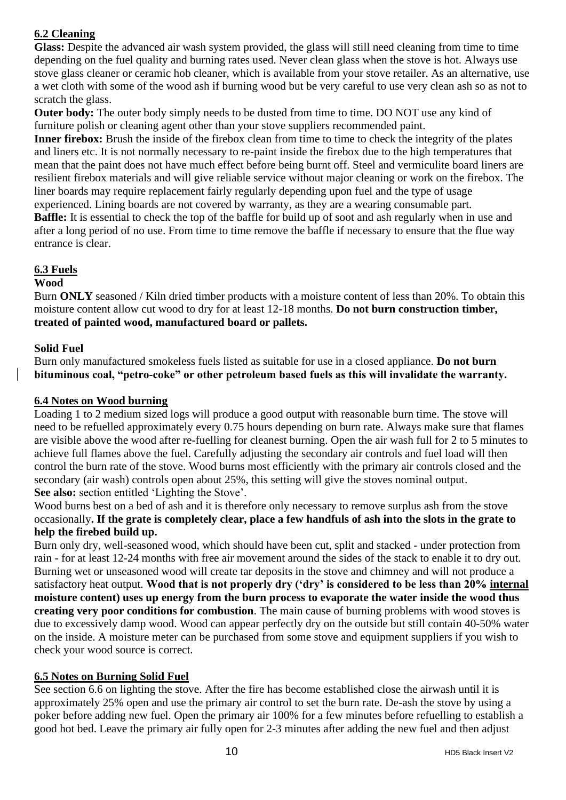### **6.2 Cleaning**

**Glass:** Despite the advanced air wash system provided, the glass will still need cleaning from time to time depending on the fuel quality and burning rates used. Never clean glass when the stove is hot. Always use stove glass cleaner or ceramic hob cleaner, which is available from your stove retailer. As an alternative, use a wet cloth with some of the wood ash if burning wood but be very careful to use very clean ash so as not to scratch the glass.

**Outer body:** The outer body simply needs to be dusted from time to time. DO NOT use any kind of furniture polish or cleaning agent other than your stove suppliers recommended paint.

**Inner firebox:** Brush the inside of the firebox clean from time to time to check the integrity of the plates and liners etc. It is not normally necessary to re-paint inside the firebox due to the high temperatures that mean that the paint does not have much effect before being burnt off. Steel and vermiculite board liners are resilient firebox materials and will give reliable service without major cleaning or work on the firebox. The liner boards may require replacement fairly regularly depending upon fuel and the type of usage experienced. Lining boards are not covered by warranty, as they are a wearing consumable part. **Baffle:** It is essential to check the top of the baffle for build up of soot and ash regularly when in use and

after a long period of no use. From time to time remove the baffle if necessary to ensure that the flue way entrance is clear.

#### **6.3 Fuels**

#### **Wood**

Burn **ONLY** seasoned / Kiln dried timber products with a moisture content of less than 20%. To obtain this moisture content allow cut wood to dry for at least 12-18 months. **Do not burn construction timber, treated of painted wood, manufactured board or pallets.**

#### **Solid Fuel**

Burn only manufactured smokeless fuels listed as suitable for use in a closed appliance. **Do not burn bituminous coal, "petro-coke" or other petroleum based fuels as this will invalidate the warranty.**

#### **6.4 Notes on Wood burning**

Loading 1 to 2 medium sized logs will produce a good output with reasonable burn time. The stove will need to be refuelled approximately every 0.75 hours depending on burn rate. Always make sure that flames are visible above the wood after re-fuelling for cleanest burning. Open the air wash full for 2 to 5 minutes to achieve full flames above the fuel. Carefully adjusting the secondary air controls and fuel load will then control the burn rate of the stove. Wood burns most efficiently with the primary air controls closed and the secondary (air wash) controls open about 25%, this setting will give the stoves nominal output. **See also:** section entitled 'Lighting the Stove'.

Wood burns best on a bed of ash and it is therefore only necessary to remove surplus ash from the stove occasionally**. If the grate is completely clear, place a few handfuls of ash into the slots in the grate to help the firebed build up.**

Burn only dry, well-seasoned wood, which should have been cut, split and stacked - under protection from rain - for at least 12-24 months with free air movement around the sides of the stack to enable it to dry out. Burning wet or unseasoned wood will create tar deposits in the stove and chimney and will not produce a satisfactory heat output. **Wood that is not properly dry ('dry' is considered to be less than 20% internal moisture content) uses up energy from the burn process to evaporate the water inside the wood thus creating very poor conditions for combustion**. The main cause of burning problems with wood stoves is due to excessively damp wood. Wood can appear perfectly dry on the outside but still contain 40-50% water on the inside. A moisture meter can be purchased from some stove and equipment suppliers if you wish to check your wood source is correct.

#### **6.5 Notes on Burning Solid Fuel**

See section 6.6 on lighting the stove. After the fire has become established close the airwash until it is approximately 25% open and use the primary air control to set the burn rate. De-ash the stove by using a poker before adding new fuel. Open the primary air 100% for a few minutes before refuelling to establish a good hot bed. Leave the primary air fully open for 2-3 minutes after adding the new fuel and then adjust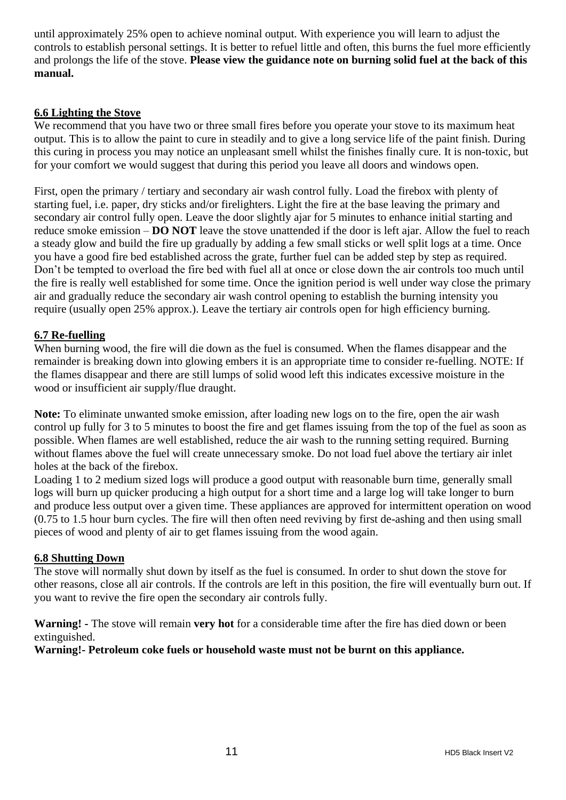until approximately 25% open to achieve nominal output. With experience you will learn to adjust the controls to establish personal settings. It is better to refuel little and often, this burns the fuel more efficiently and prolongs the life of the stove. **Please view the guidance note on burning solid fuel at the back of this manual.**

#### **6.6 Lighting the Stove**

We recommend that you have two or three small fires before you operate your stove to its maximum heat output. This is to allow the paint to cure in steadily and to give a long service life of the paint finish. During this curing in process you may notice an unpleasant smell whilst the finishes finally cure. It is non-toxic, but for your comfort we would suggest that during this period you leave all doors and windows open.

First, open the primary / tertiary and secondary air wash control fully. Load the firebox with plenty of starting fuel, i.e. paper, dry sticks and/or firelighters. Light the fire at the base leaving the primary and secondary air control fully open. Leave the door slightly ajar for 5 minutes to enhance initial starting and reduce smoke emission – **DO NOT** leave the stove unattended if the door is left ajar. Allow the fuel to reach a steady glow and build the fire up gradually by adding a few small sticks or well split logs at a time. Once you have a good fire bed established across the grate, further fuel can be added step by step as required. Don't be tempted to overload the fire bed with fuel all at once or close down the air controls too much until the fire is really well established for some time. Once the ignition period is well under way close the primary air and gradually reduce the secondary air wash control opening to establish the burning intensity you require (usually open 25% approx.). Leave the tertiary air controls open for high efficiency burning.

#### **6.7 Re-fuelling**

When burning wood, the fire will die down as the fuel is consumed. When the flames disappear and the remainder is breaking down into glowing embers it is an appropriate time to consider re-fuelling. NOTE: If the flames disappear and there are still lumps of solid wood left this indicates excessive moisture in the wood or insufficient air supply/flue draught.

**Note:** To eliminate unwanted smoke emission, after loading new logs on to the fire, open the air wash control up fully for 3 to 5 minutes to boost the fire and get flames issuing from the top of the fuel as soon as possible. When flames are well established, reduce the air wash to the running setting required. Burning without flames above the fuel will create unnecessary smoke. Do not load fuel above the tertiary air inlet holes at the back of the firebox.

Loading 1 to 2 medium sized logs will produce a good output with reasonable burn time, generally small logs will burn up quicker producing a high output for a short time and a large log will take longer to burn and produce less output over a given time. These appliances are approved for intermittent operation on wood (0.75 to 1.5 hour burn cycles. The fire will then often need reviving by first de-ashing and then using small pieces of wood and plenty of air to get flames issuing from the wood again.

#### **6.8 Shutting Down**

The stove will normally shut down by itself as the fuel is consumed. In order to shut down the stove for other reasons, close all air controls. If the controls are left in this position, the fire will eventually burn out. If you want to revive the fire open the secondary air controls fully.

**Warning! -** The stove will remain **very hot** for a considerable time after the fire has died down or been extinguished.

**Warning!- Petroleum coke fuels or household waste must not be burnt on this appliance.**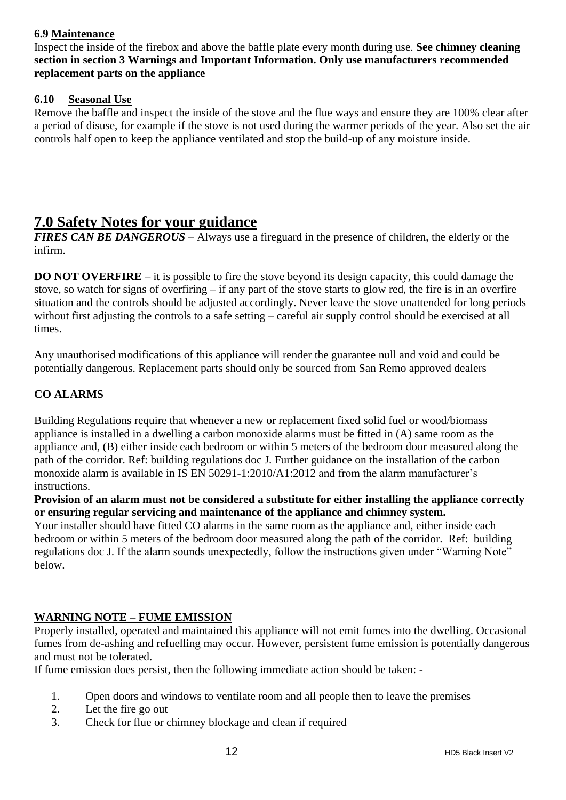#### **6.9 Maintenance**

Inspect the inside of the firebox and above the baffle plate every month during use. **See chimney cleaning section in section 3 Warnings and Important Information. Only use manufacturers recommended replacement parts on the appliance**

#### **6.10 Seasonal Use**

Remove the baffle and inspect the inside of the stove and the flue ways and ensure they are 100% clear after a period of disuse, for example if the stove is not used during the warmer periods of the year. Also set the air controls half open to keep the appliance ventilated and stop the build-up of any moisture inside.

### **7.0 Safety Notes for your guidance**

*FIRES CAN BE DANGEROUS* – Always use a fireguard in the presence of children, the elderly or the infirm.

**DO NOT OVERFIRE** – it is possible to fire the stove beyond its design capacity, this could damage the stove, so watch for signs of overfiring – if any part of the stove starts to glow red, the fire is in an overfire situation and the controls should be adjusted accordingly. Never leave the stove unattended for long periods without first adjusting the controls to a safe setting – careful air supply control should be exercised at all times.

Any unauthorised modifications of this appliance will render the guarantee null and void and could be potentially dangerous. Replacement parts should only be sourced from San Remo approved dealers

#### **CO ALARMS**

Building Regulations require that whenever a new or replacement fixed solid fuel or wood/biomass appliance is installed in a dwelling a carbon monoxide alarms must be fitted in (A) same room as the appliance and, (B) either inside each bedroom or within 5 meters of the bedroom door measured along the path of the corridor. Ref: building regulations doc J. Further guidance on the installation of the carbon monoxide alarm is available in IS EN 50291-1:2010/A1:2012 and from the alarm manufacturer's instructions.

**Provision of an alarm must not be considered a substitute for either installing the appliance correctly or ensuring regular servicing and maintenance of the appliance and chimney system.**

Your installer should have fitted CO alarms in the same room as the appliance and, either inside each bedroom or within 5 meters of the bedroom door measured along the path of the corridor. Ref: building regulations doc J. If the alarm sounds unexpectedly, follow the instructions given under "Warning Note" below.

#### **WARNING NOTE – FUME EMISSION**

Properly installed, operated and maintained this appliance will not emit fumes into the dwelling. Occasional fumes from de-ashing and refuelling may occur. However, persistent fume emission is potentially dangerous and must not be tolerated.

If fume emission does persist, then the following immediate action should be taken: -

- 1. Open doors and windows to ventilate room and all people then to leave the premises
- 2. Let the fire go out
- 3. Check for flue or chimney blockage and clean if required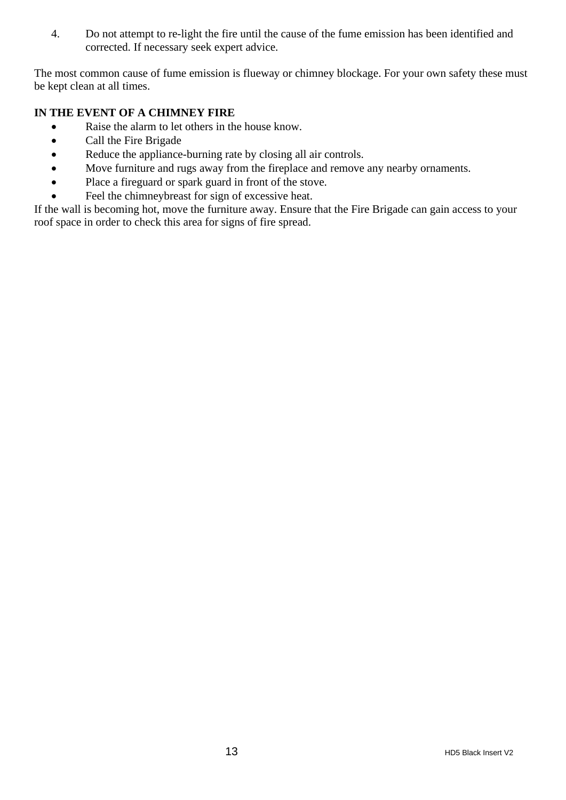4. Do not attempt to re-light the fire until the cause of the fume emission has been identified and corrected. If necessary seek expert advice.

The most common cause of fume emission is flueway or chimney blockage. For your own safety these must be kept clean at all times.

#### **IN THE EVENT OF A CHIMNEY FIRE**

- Raise the alarm to let others in the house know.
- Call the Fire Brigade
- Reduce the appliance-burning rate by closing all air controls.
- Move furniture and rugs away from the fireplace and remove any nearby ornaments.
- Place a fireguard or spark guard in front of the stove.
- Feel the chimneybreast for sign of excessive heat.

If the wall is becoming hot, move the furniture away. Ensure that the Fire Brigade can gain access to your roof space in order to check this area for signs of fire spread.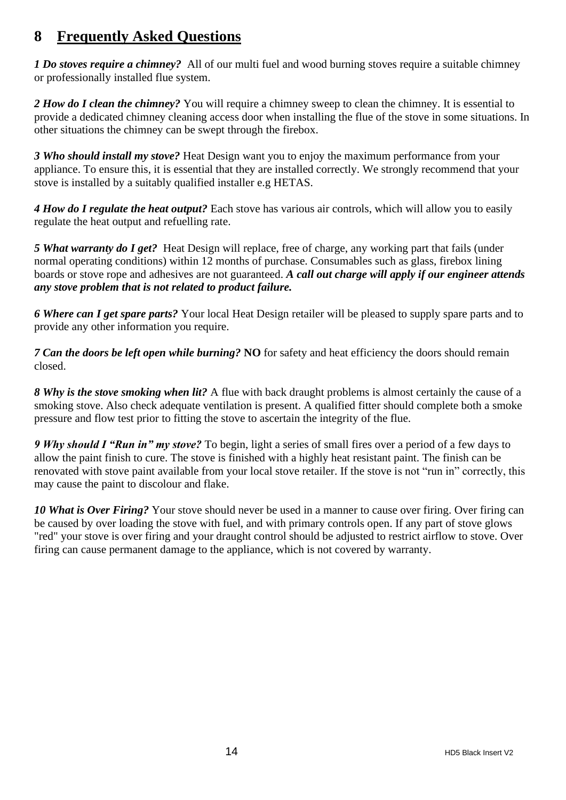### **8 Frequently Asked Questions**

*1 Do stoves require a chimney?* All of our multi fuel and wood burning stoves require a suitable chimney or professionally installed flue system.

2 *How do I clean the chimney?* You will require a chimney sweep to clean the chimney. It is essential to provide a dedicated chimney cleaning access door when installing the flue of the stove in some situations. In other situations the chimney can be swept through the firebox.

*3 Who should install my stove?* Heat Design want you to enjoy the maximum performance from your appliance. To ensure this, it is essential that they are installed correctly. We strongly recommend that your stove is installed by a suitably qualified installer e.g HETAS.

*4 How do I regulate the heat output?* Each stove has various air controls, which will allow you to easily regulate the heat output and refuelling rate.

*5 What warranty do I get?* Heat Design will replace, free of charge, any working part that fails (under normal operating conditions) within 12 months of purchase. Consumables such as glass, firebox lining boards or stove rope and adhesives are not guaranteed. *A call out charge will apply if our engineer attends any stove problem that is not related to product failure.*

*6 Where can I get spare parts?* Your local Heat Design retailer will be pleased to supply spare parts and to provide any other information you require.

*7 Can the doors be left open while burning?* **NO** for safety and heat efficiency the doors should remain closed.

*8 Why is the stove smoking when lit?* A flue with back draught problems is almost certainly the cause of a smoking stove. Also check adequate ventilation is present. A qualified fitter should complete both a smoke pressure and flow test prior to fitting the stove to ascertain the integrity of the flue.

*9 Why should I "Run in" my stove?* To begin, light a series of small fires over a period of a few days to allow the paint finish to cure. The stove is finished with a highly heat resistant paint. The finish can be renovated with stove paint available from your local stove retailer. If the stove is not "run in" correctly, this may cause the paint to discolour and flake.

*10 What is Over Firing?* Your stove should never be used in a manner to cause over firing. Over firing can be caused by over loading the stove with fuel, and with primary controls open. If any part of stove glows "red" your stove is over firing and your draught control should be adjusted to restrict airflow to stove. Over firing can cause permanent damage to the appliance, which is not covered by warranty.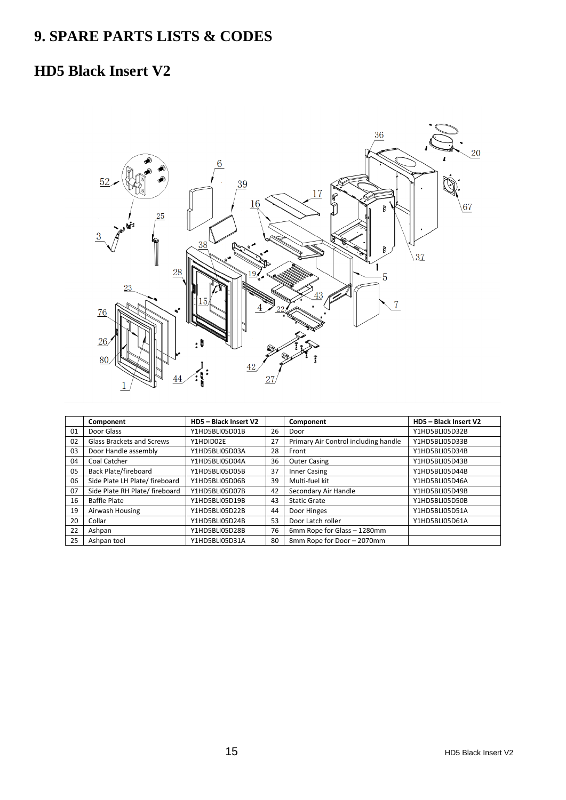# **9. SPARE PARTS LISTS & CODES**

### **HD5 Black Insert V2**



|    | Component                      | HD5 - Black Insert V2 |    | Component                            | HD5 - Black Insert V2 |
|----|--------------------------------|-----------------------|----|--------------------------------------|-----------------------|
| 01 | Door Glass                     | Y1HD5BLI05D01B        | 26 | Door                                 | Y1HD5BLI05D32B        |
| 02 | Glass Brackets and Screws      | Y1HDID02E             | 27 | Primary Air Control including handle | Y1HD5BLI05D33B        |
| 03 | Door Handle assembly           | Y1HD5BLI05D03A        | 28 | Front                                | Y1HD5BLI05D34B        |
| 04 | Coal Catcher                   | Y1HD5BLI05D04A        | 36 | <b>Outer Casing</b>                  | Y1HD5BLI05D43B        |
| 05 | Back Plate/fireboard           | Y1HD5BLI05D05B        | 37 | <b>Inner Casing</b>                  | Y1HD5BLI05D44B        |
| 06 | Side Plate LH Plate/ fireboard | Y1HD5BLI05D06B        | 39 | Multi-fuel kit                       | Y1HD5BLI05D46A        |
| 07 | Side Plate RH Plate/ fireboard | Y1HD5BLI05D07B        | 42 | Secondary Air Handle                 | Y1HD5BLI05D49B        |
| 16 | <b>Baffle Plate</b>            | Y1HD5BLI05D19B        | 43 | <b>Static Grate</b>                  | Y1HD5BLI05D50B        |
| 19 | Airwash Housing                | Y1HD5BLI05D22B        | 44 | Door Hinges                          | Y1HD5BLI05D51A        |
| 20 | Collar                         | Y1HD5BLI05D24B        | 53 | Door Latch roller                    | Y1HD5BLI05D61A        |
| 22 | Ashpan                         | Y1HD5BLI05D28B        | 76 | 6mm Rope for Glass - 1280mm          |                       |
| 25 | Ashpan tool                    | Y1HD5BLI05D31A        | 80 | 8mm Rope for Door - 2070mm           |                       |